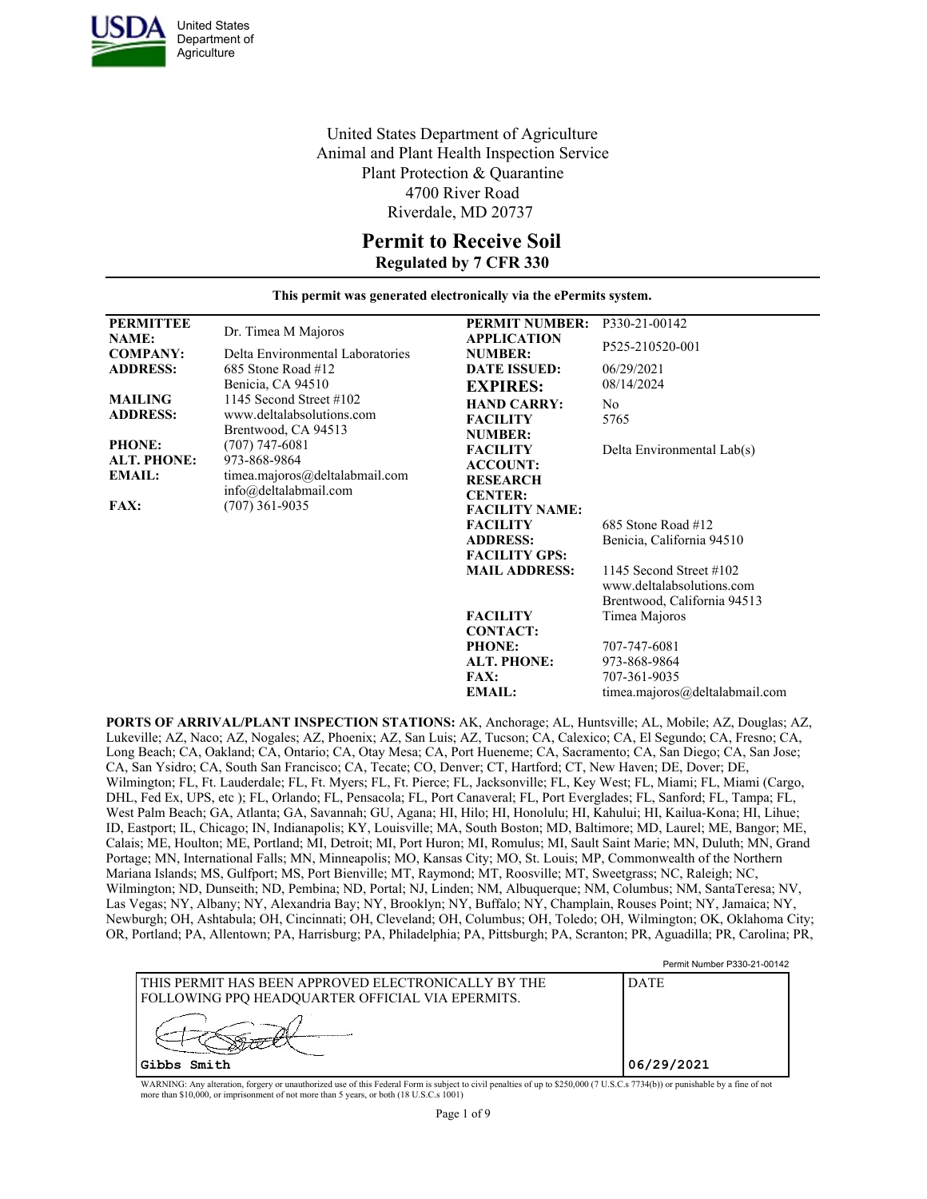

United States Department of Agriculture Animal and Plant Health Inspection Service Plant Protection & Quarantine 4700 River Road Riverdale, MD 20737

### **Permit to Receive Soil Regulated by 7 CFR 330**

**This permit was generated electronically via the ePermits system.**

| <b>PERMITTEE</b><br><b>NAME:</b>                     | Dr. Timea M Majoros                                                         | <b>PERMIT NUMBER:</b><br><b>APPLICATION</b>                | P330-21-00142                                                                          |
|------------------------------------------------------|-----------------------------------------------------------------------------|------------------------------------------------------------|----------------------------------------------------------------------------------------|
| <b>COMPANY:</b>                                      | Delta Environmental Laboratories                                            | <b>NUMBER:</b>                                             | P525-210520-001                                                                        |
| <b>ADDRESS:</b>                                      | 685 Stone Road #12<br>Benicia, CA 94510                                     | <b>DATE ISSUED:</b><br><b>EXPIRES:</b>                     | 06/29/2021<br>08/14/2024                                                               |
| <b>MAILING</b><br><b>ADDRESS:</b>                    | 1145 Second Street #102<br>www.deltalabsolutions.com<br>Brentwood, CA 94513 | <b>HAND CARRY:</b><br><b>FACILITY</b><br><b>NUMBER:</b>    | No<br>5765                                                                             |
| <b>PHONE:</b><br><b>ALT. PHONE:</b><br><b>EMAIL:</b> | $(707)$ 747-6081<br>973-868-9864<br>timea.majoros@deltalabmail.com          | <b>FACILITY</b><br><b>ACCOUNT:</b><br><b>RESEARCH</b>      | Delta Environmental Lab(s)                                                             |
| <b>FAX:</b>                                          | info@deltalabmail.com<br>$(707)$ 361-9035                                   | <b>CENTER:</b><br><b>FACILITY NAME:</b><br><b>FACILITY</b> | 685 Stone Road #12                                                                     |
|                                                      |                                                                             | <b>ADDRESS:</b><br><b>FACILITY GPS:</b>                    | Benicia, California 94510                                                              |
|                                                      |                                                                             | <b>MAIL ADDRESS:</b>                                       | 1145 Second Street $\#102$<br>www.deltalabsolutions.com<br>Brentwood, California 94513 |
|                                                      |                                                                             | <b>FACILITY</b><br><b>CONTACT:</b>                         | Timea Majoros                                                                          |
|                                                      |                                                                             | <b>PHONE:</b>                                              | 707-747-6081                                                                           |
|                                                      |                                                                             | <b>ALT. PHONE:</b>                                         | 973-868-9864                                                                           |
|                                                      |                                                                             | <b>FAX:</b><br><b>EMAIL:</b>                               | 707-361-9035<br>timea.maioros@deltalabmail.com                                         |

**PORTS OF ARRIVAL/PLANT INSPECTION STATIONS:** AK, Anchorage; AL, Huntsville; AL, Mobile; AZ, Douglas; AZ, Lukeville; AZ, Naco; AZ, Nogales; AZ, Phoenix; AZ, San Luis; AZ, Tucson; CA, Calexico; CA, El Segundo; CA, Fresno; CA, Long Beach; CA, Oakland; CA, Ontario; CA, Otay Mesa; CA, Port Hueneme; CA, Sacramento; CA, San Diego; CA, San Jose; CA, San Ysidro; CA, South San Francisco; CA, Tecate; CO, Denver; CT, Hartford; CT, New Haven; DE, Dover; DE, Wilmington; FL, Ft. Lauderdale; FL, Ft. Myers; FL, Ft. Pierce; FL, Jacksonville; FL, Key West; FL, Miami; FL, Miami (Cargo, DHL, Fed Ex, UPS, etc ); FL, Orlando; FL, Pensacola; FL, Port Canaveral; FL, Port Everglades; FL, Sanford; FL, Tampa; FL, West Palm Beach; GA, Atlanta; GA, Savannah; GU, Agana; HI, Hilo; HI, Honolulu; HI, Kahului; HI, Kailua-Kona; HI, Lihue; ID, Eastport; IL, Chicago; IN, Indianapolis; KY, Louisville; MA, South Boston; MD, Baltimore; MD, Laurel; ME, Bangor; ME, Calais; ME, Houlton; ME, Portland; MI, Detroit; MI, Port Huron; MI, Romulus; MI, Sault Saint Marie; MN, Duluth; MN, Grand Portage; MN, International Falls; MN, Minneapolis; MO, Kansas City; MO, St. Louis; MP, Commonwealth of the Northern Mariana Islands; MS, Gulfport; MS, Port Bienville; MT, Raymond; MT, Roosville; MT, Sweetgrass; NC, Raleigh; NC, Wilmington; ND, Dunseith; ND, Pembina; ND, Portal; NJ, Linden; NM, Albuquerque; NM, Columbus; NM, SantaTeresa; NV, Las Vegas; NY, Albany; NY, Alexandria Bay; NY, Brooklyn; NY, Buffalo; NY, Champlain, Rouses Point; NY, Jamaica; NY, Newburgh; OH, Ashtabula; OH, Cincinnati; OH, Cleveland; OH, Columbus; OH, Toledo; OH, Wilmington; OK, Oklahoma City; OR, Portland; PA, Allentown; PA, Harrisburg; PA, Philadelphia; PA, Pittsburgh; PA, Scranton; PR, Aguadilla; PR, Carolina; PR,

| l this permit has been approved electronically by the<br><b>DATE</b><br><b>FOLLOWING PPQ HEADQUARTER OFFICIAL VIA EPERMITS.</b> |            |
|---------------------------------------------------------------------------------------------------------------------------------|------------|
|                                                                                                                                 |            |
| Gibbs Smith                                                                                                                     | 06/29/2021 |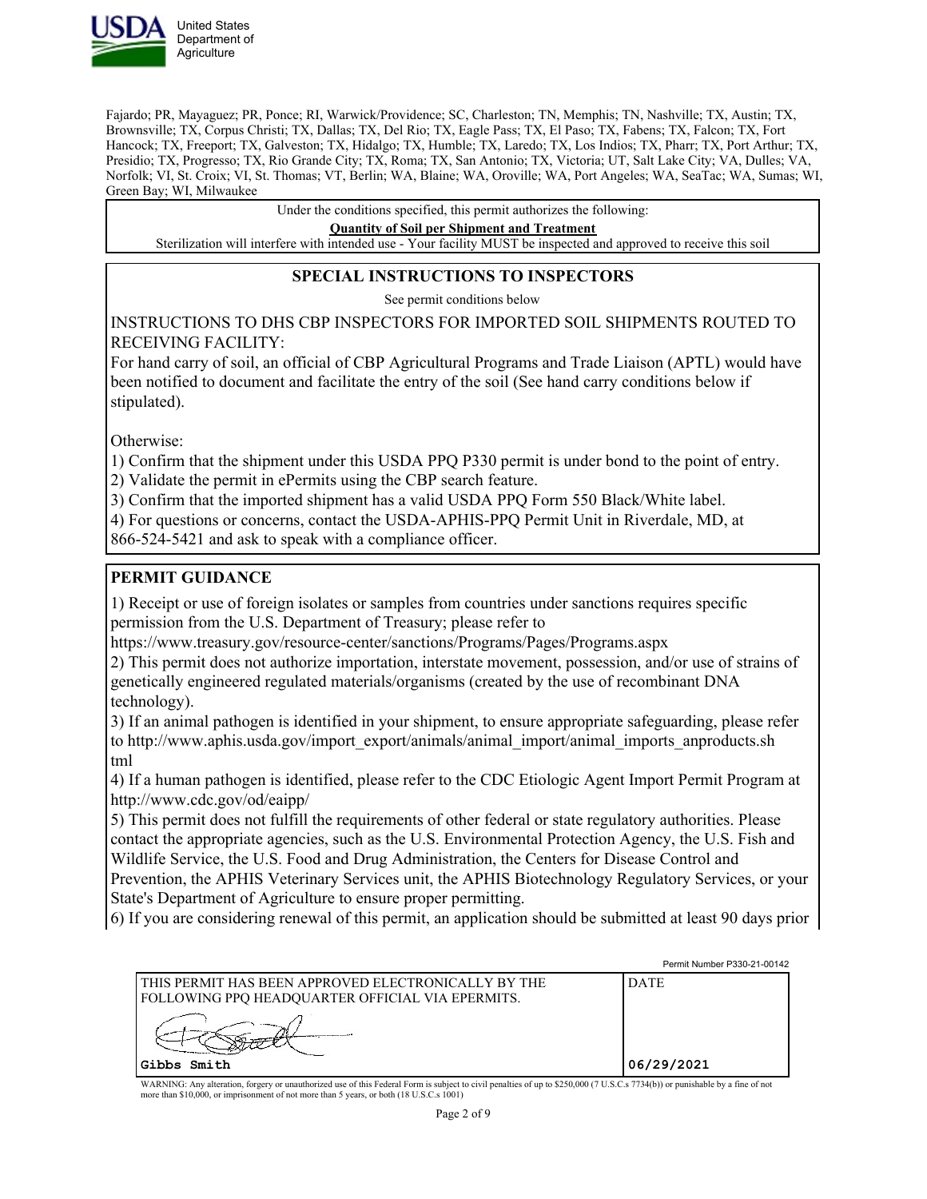

Fajardo; PR, Mayaguez; PR, Ponce; RI, Warwick/Providence; SC, Charleston; TN, Memphis; TN, Nashville; TX, Austin; TX, Brownsville; TX, Corpus Christi; TX, Dallas; TX, Del Rio; TX, Eagle Pass; TX, El Paso; TX, Fabens; TX, Falcon; TX, Fort Hancock; TX, Freeport; TX, Galveston; TX, Hidalgo; TX, Humble; TX, Laredo; TX, Los Indios; TX, Pharr; TX, Port Arthur; TX, Presidio; TX, Progresso; TX, Rio Grande City; TX, Roma; TX, San Antonio; TX, Victoria; UT, Salt Lake City; VA, Dulles; VA, Norfolk; VI, St. Croix; VI, St. Thomas; VT, Berlin; WA, Blaine; WA, Oroville; WA, Port Angeles; WA, SeaTac; WA, Sumas; WI, Green Bay; WI, Milwaukee

Under the conditions specified, this permit authorizes the following:

**Quantity of Soil per Shipment and Treatment**

Sterilization will interfere with intended use - Your facility MUST be inspected and approved to receive this soil

#### **SPECIAL INSTRUCTIONS TO INSPECTORS**

See permit conditions below

INSTRUCTIONS TO DHS CBP INSPECTORS FOR IMPORTED SOIL SHIPMENTS ROUTED TO RECEIVING FACILITY:

For hand carry of soil, an official of CBP Agricultural Programs and Trade Liaison (APTL) would have been notified to document and facilitate the entry of the soil (See hand carry conditions below if stipulated).

Otherwise:

1) Confirm that the shipment under this USDA PPQ P330 permit is under bond to the point of entry.

2) Validate the permit in ePermits using the CBP search feature.

3) Confirm that the imported shipment has a valid USDA PPQ Form 550 Black/White label.

4) For questions or concerns, contact the USDA-APHIS-PPQ Permit Unit in Riverdale, MD, at

866-524-5421 and ask to speak with a compliance officer.

### **PERMIT GUIDANCE**

1) Receipt or use of foreign isolates or samples from countries under sanctions requires specific permission from the U.S. Department of Treasury; please refer to

https://www.treasury.gov/resource-center/sanctions/Programs/Pages/Programs.aspx

2) This permit does not authorize importation, interstate movement, possession, and/or use of strains of genetically engineered regulated materials/organisms (created by the use of recombinant DNA technology).

3) If an animal pathogen is identified in your shipment, to ensure appropriate safeguarding, please refer to http://www.aphis.usda.gov/import\_export/animals/animal\_import/animal\_imports\_anproducts.sh tml

4) If a human pathogen is identified, please refer to the CDC Etiologic Agent Import Permit Program at http://www.cdc.gov/od/eaipp/

5) This permit does not fulfill the requirements of other federal or state regulatory authorities. Please contact the appropriate agencies, such as the U.S. Environmental Protection Agency, the U.S. Fish and Wildlife Service, the U.S. Food and Drug Administration, the Centers for Disease Control and Prevention, the APHIS Veterinary Services unit, the APHIS Biotechnology Regulatory Services, or your State's Department of Agriculture to ensure proper permitting.

6) If you are considering renewal of this permit, an application should be submitted at least 90 days prior

|                                                                                                         | Permit Number P330-21-00142 |
|---------------------------------------------------------------------------------------------------------|-----------------------------|
| THIS PERMIT HAS BEEN APPROVED ELECTRONICALLY BY THE<br>FOLLOWING PPQ HEADQUARTER OFFICIAL VIA EPERMITS. | <b>DATE</b>                 |
|                                                                                                         |                             |
| Gibbs Smith                                                                                             | 06/29/2021                  |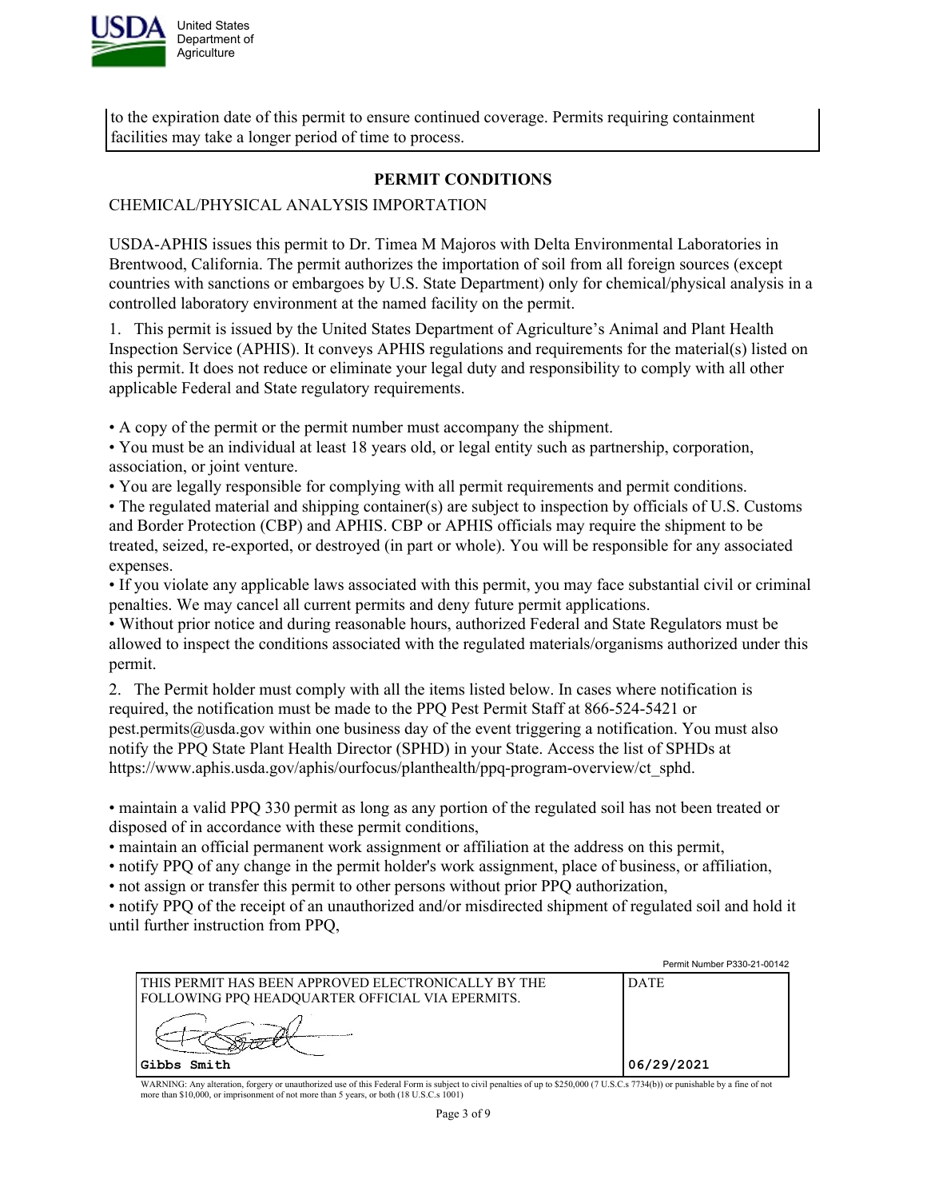

to the expiration date of this permit to ensure continued coverage. Permits requiring containment facilities may take a longer period of time to process.

## **PERMIT CONDITIONS**

### CHEMICAL/PHYSICAL ANALYSIS IMPORTATION

USDA-APHIS issues this permit to Dr. Timea M Majoros with Delta Environmental Laboratories in Brentwood, California. The permit authorizes the importation of soil from all foreign sources (except countries with sanctions or embargoes by U.S. State Department) only for chemical/physical analysis in a controlled laboratory environment at the named facility on the permit.

1. This permit is issued by the United States Department of Agriculture's Animal and Plant Health Inspection Service (APHIS). It conveys APHIS regulations and requirements for the material(s) listed on this permit. It does not reduce or eliminate your legal duty and responsibility to comply with all other applicable Federal and State regulatory requirements.

• A copy of the permit or the permit number must accompany the shipment.

- You must be an individual at least 18 years old, or legal entity such as partnership, corporation, association, or joint venture.
- You are legally responsible for complying with all permit requirements and permit conditions.

• The regulated material and shipping container(s) are subject to inspection by officials of U.S. Customs and Border Protection (CBP) and APHIS. CBP or APHIS officials may require the shipment to be treated, seized, re-exported, or destroyed (in part or whole). You will be responsible for any associated expenses.

• If you violate any applicable laws associated with this permit, you may face substantial civil or criminal penalties. We may cancel all current permits and deny future permit applications.

• Without prior notice and during reasonable hours, authorized Federal and State Regulators must be allowed to inspect the conditions associated with the regulated materials/organisms authorized under this permit.

2. The Permit holder must comply with all the items listed below. In cases where notification is required, the notification must be made to the PPQ Pest Permit Staff at 866-524-5421 or pest.permits@usda.gov within one business day of the event triggering a notification. You must also notify the PPQ State Plant Health Director (SPHD) in your State. Access the list of SPHDs at https://www.aphis.usda.gov/aphis/ourfocus/planthealth/ppq-program-overview/ct\_sphd.

• maintain a valid PPQ 330 permit as long as any portion of the regulated soil has not been treated or disposed of in accordance with these permit conditions,

• maintain an official permanent work assignment or affiliation at the address on this permit,

• notify PPQ of any change in the permit holder's work assignment, place of business, or affiliation,

• not assign or transfer this permit to other persons without prior PPQ authorization,

• notify PPQ of the receipt of an unauthorized and/or misdirected shipment of regulated soil and hold it until further instruction from PPQ,

|                                                                                                             | Permit Number P330-21-00142 |
|-------------------------------------------------------------------------------------------------------------|-----------------------------|
| I THIS PERMIT HAS BEEN APPROVED ELECTRONICALLY BY THE<br>  FOLLOWING PPQ HEADQUARTER OFFICIAL VIA EPERMITS. | <b>DATE</b>                 |
| Gibbs Smith                                                                                                 | 06/29/2021                  |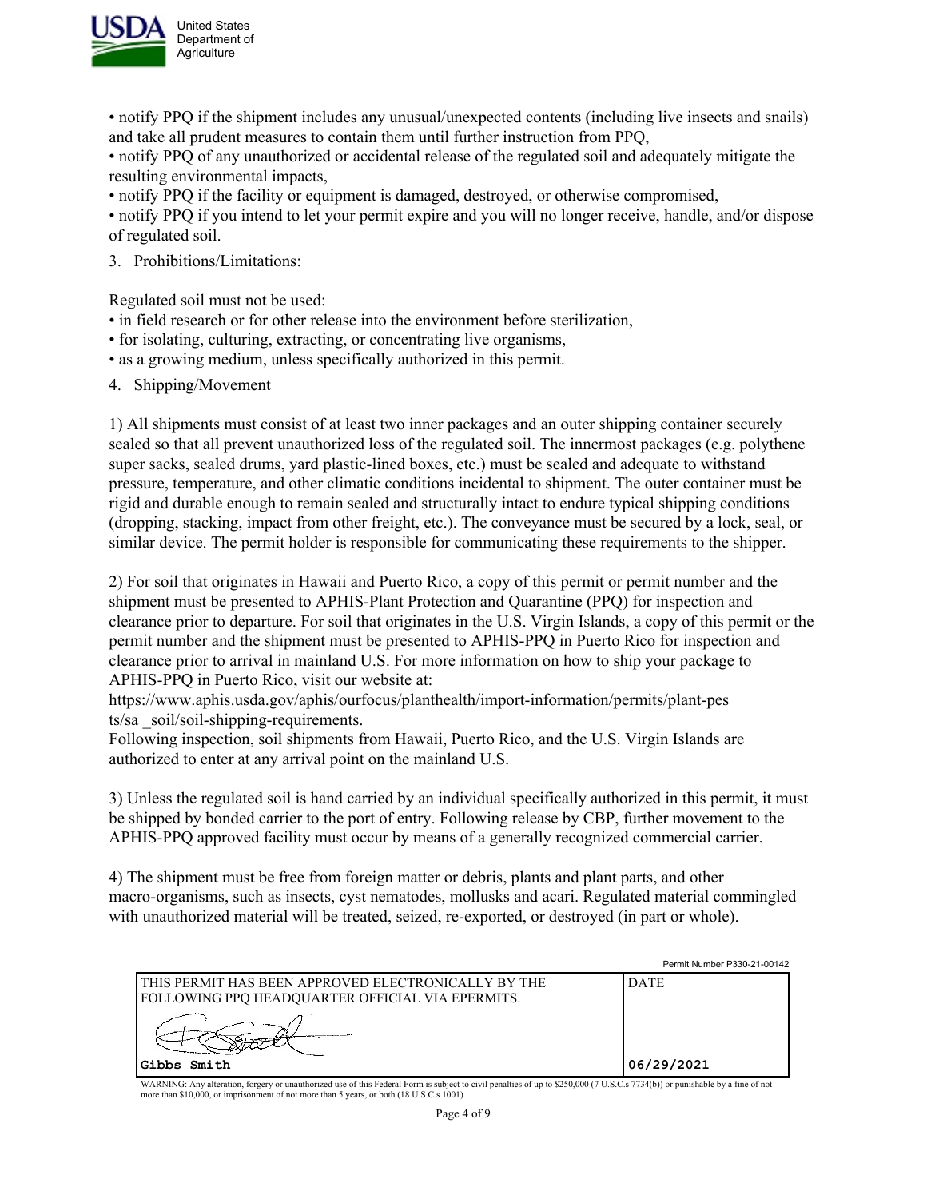

• notify PPQ if the shipment includes any unusual/unexpected contents (including live insects and snails) and take all prudent measures to contain them until further instruction from PPQ,

• notify PPQ of any unauthorized or accidental release of the regulated soil and adequately mitigate the resulting environmental impacts,

• notify PPQ if the facility or equipment is damaged, destroyed, or otherwise compromised,

• notify PPQ if you intend to let your permit expire and you will no longer receive, handle, and/or dispose of regulated soil.

3. Prohibitions/Limitations:

Regulated soil must not be used:

- in field research or for other release into the environment before sterilization,
- for isolating, culturing, extracting, or concentrating live organisms,
- as a growing medium, unless specifically authorized in this permit.
- 4. Shipping/Movement

1) All shipments must consist of at least two inner packages and an outer shipping container securely sealed so that all prevent unauthorized loss of the regulated soil. The innermost packages (e.g. polythene super sacks, sealed drums, yard plastic-lined boxes, etc.) must be sealed and adequate to withstand pressure, temperature, and other climatic conditions incidental to shipment. The outer container must be rigid and durable enough to remain sealed and structurally intact to endure typical shipping conditions (dropping, stacking, impact from other freight, etc.). The conveyance must be secured by a lock, seal, or similar device. The permit holder is responsible for communicating these requirements to the shipper.

2) For soil that originates in Hawaii and Puerto Rico, a copy of this permit or permit number and the shipment must be presented to APHIS-Plant Protection and Quarantine (PPQ) for inspection and clearance prior to departure. For soil that originates in the U.S. Virgin Islands, a copy of this permit or the permit number and the shipment must be presented to APHIS-PPQ in Puerto Rico for inspection and clearance prior to arrival in mainland U.S. For more information on how to ship your package to APHIS-PPQ in Puerto Rico, visit our website at:

https://www.aphis.usda.gov/aphis/ourfocus/planthealth/import-information/permits/plant-pes ts/sa \_soil/soil-shipping-requirements.

Following inspection, soil shipments from Hawaii, Puerto Rico, and the U.S. Virgin Islands are authorized to enter at any arrival point on the mainland U.S.

3) Unless the regulated soil is hand carried by an individual specifically authorized in this permit, it must be shipped by bonded carrier to the port of entry. Following release by CBP, further movement to the APHIS-PPQ approved facility must occur by means of a generally recognized commercial carrier.

4) The shipment must be free from foreign matter or debris, plants and plant parts, and other macro-organisms, such as insects, cyst nematodes, mollusks and acari. Regulated material commingled with unauthorized material will be treated, seized, re-exported, or destroyed (in part or whole).

|                                                                                                         | Permit Number P330-21-00142 |
|---------------------------------------------------------------------------------------------------------|-----------------------------|
| THIS PERMIT HAS BEEN APPROVED ELECTRONICALLY BY THE<br>FOLLOWING PPO HEADOUARTER OFFICIAL VIA EPERMITS. | <b>DATE</b>                 |
|                                                                                                         |                             |
| Gibbs Smith                                                                                             | 06/29/2021                  |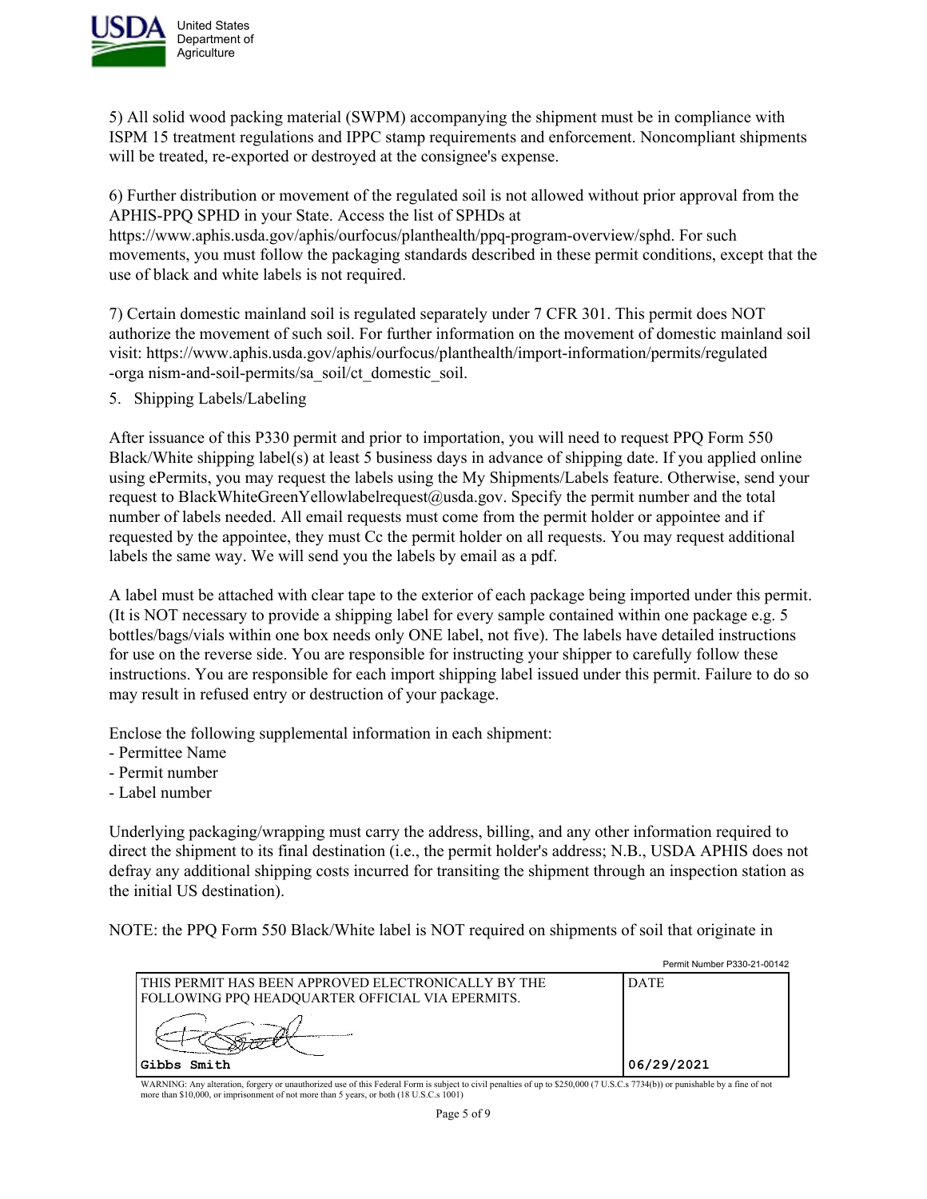

5) All solid wood packing material (SWPM) accompanying the shipment must be in compliance with ISPM 15 treatment regulations and IPPC stamp requirements and enforcement. Noncompliant shipments will be treated, re-exported or destroyed at the consignee's expense.

6) Further distribution or movement of the regulated soil is not allowed without prior approval from the APHIS-PPQ SPHD in your State. Access the list of SPHDs at https://www.aphis.usda.gov/aphis/ourfocus/planthealth/ppq-program-overview/sphd. For such movements, you must follow the packaging standards described in these permit conditions, except that the use of black and white labels is not required.

7) Certain domestic mainland soil is regulated separately under 7 CFR 301. This permit does NOT authorize the movement of such soil. For further information on the movement of domestic mainland soil visit: https://www.aphis.usda.gov/aphis/ourfocus/planthealth/import-information/permits/regulated -orga nism-and-soil-permits/sa\_soil/ct\_domestic\_soil.

5. Shipping Labels/Labeling

After issuance of this P330 permit and prior to importation, you will need to request PPQ Form 550 Black/White shipping label(s) at least 5 business days in advance of shipping date. If you applied online using ePermits, you may request the labels using the My Shipments/Labels feature. Otherwise, send your request to BlackWhiteGreenYellowlabelrequest@usda.gov. Specify the permit number and the total number of labels needed. All email requests must come from the permit holder or appointee and if requested by the appointee, they must Cc the permit holder on all requests. You may request additional labels the same way. We will send you the labels by email as a pdf.

A label must be attached with clear tape to the exterior of each package being imported under this permit. (It is NOT necessary to provide a shipping label for every sample contained within one package e.g. 5 bottles/bags/vials within one box needs only ONE label, not five). The labels have detailed instructions for use on the reverse side. You are responsible for instructing your shipper to carefully follow these instructions. You are responsible for each import shipping label issued under this permit. Failure to do so may result in refused entry or destruction of your package.

Enclose the following supplemental information in each shipment:

- Permittee Name
- Permit number
- Label number

Underlying packaging/wrapping must carry the address, billing, and any other information required to direct the shipment to its final destination (i.e., the permit holder's address; N.B., USDA APHIS does not defray any additional shipping costs incurred for transiting the shipment through an inspection station as the initial US destination).

NOTE: the PPQ Form 550 Black/White label is NOT required on shipments of soil that originate in

|                                                                                                             | Permit Number P330-21-00142 |
|-------------------------------------------------------------------------------------------------------------|-----------------------------|
| I THIS PERMIT HAS BEEN APPROVED ELECTRONICALLY BY THE<br>  FOLLOWING PPQ HEADQUARTER OFFICIAL VIA EPERMITS. | <b>DATE</b>                 |
|                                                                                                             |                             |
| Gibbs Smith                                                                                                 | 06/29/2021                  |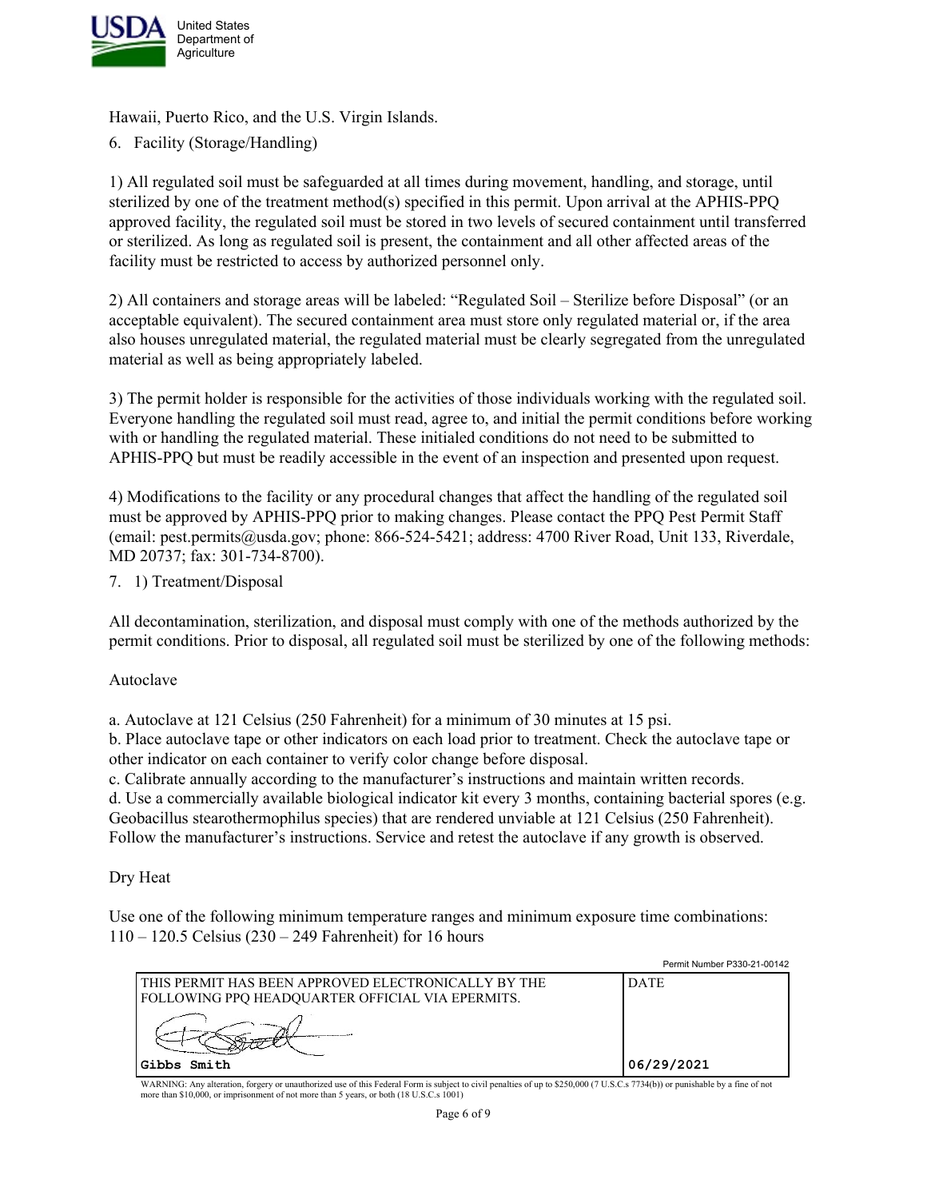

Hawaii, Puerto Rico, and the U.S. Virgin Islands.

6. Facility (Storage/Handling)

1) All regulated soil must be safeguarded at all times during movement, handling, and storage, until sterilized by one of the treatment method(s) specified in this permit. Upon arrival at the APHIS-PPQ approved facility, the regulated soil must be stored in two levels of secured containment until transferred or sterilized. As long as regulated soil is present, the containment and all other affected areas of the facility must be restricted to access by authorized personnel only.

2) All containers and storage areas will be labeled: "Regulated Soil – Sterilize before Disposal" (or an acceptable equivalent). The secured containment area must store only regulated material or, if the area also houses unregulated material, the regulated material must be clearly segregated from the unregulated material as well as being appropriately labeled.

3) The permit holder is responsible for the activities of those individuals working with the regulated soil. Everyone handling the regulated soil must read, agree to, and initial the permit conditions before working with or handling the regulated material. These initialed conditions do not need to be submitted to APHIS-PPQ but must be readily accessible in the event of an inspection and presented upon request.

4) Modifications to the facility or any procedural changes that affect the handling of the regulated soil must be approved by APHIS-PPQ prior to making changes. Please contact the PPQ Pest Permit Staff (email: pest.permits@usda.gov; phone: 866-524-5421; address: 4700 River Road, Unit 133, Riverdale, MD 20737; fax: 301-734-8700).

7. 1) Treatment/Disposal

All decontamination, sterilization, and disposal must comply with one of the methods authorized by the permit conditions. Prior to disposal, all regulated soil must be sterilized by one of the following methods:

Autoclave

a. Autoclave at 121 Celsius (250 Fahrenheit) for a minimum of 30 minutes at 15 psi.

b. Place autoclave tape or other indicators on each load prior to treatment. Check the autoclave tape or other indicator on each container to verify color change before disposal.

c. Calibrate annually according to the manufacturer's instructions and maintain written records. d. Use a commercially available biological indicator kit every 3 months, containing bacterial spores (e.g. Geobacillus stearothermophilus species) that are rendered unviable at 121 Celsius (250 Fahrenheit). Follow the manufacturer's instructions. Service and retest the autoclave if any growth is observed.

Dry Heat

Use one of the following minimum temperature ranges and minimum exposure time combinations: 110 – 120.5 Celsius (230 – 249 Fahrenheit) for 16 hours

|                                                                                                         | <b>Permit Number P330-21-00142</b> |
|---------------------------------------------------------------------------------------------------------|------------------------------------|
| THIS PERMIT HAS BEEN APPROVED ELECTRONICALLY BY THE<br>FOLLOWING PPQ HEADQUARTER OFFICIAL VIA EPERMITS. | DATE                               |
|                                                                                                         |                                    |
| Gibbs Smith                                                                                             | 06/29/2021                         |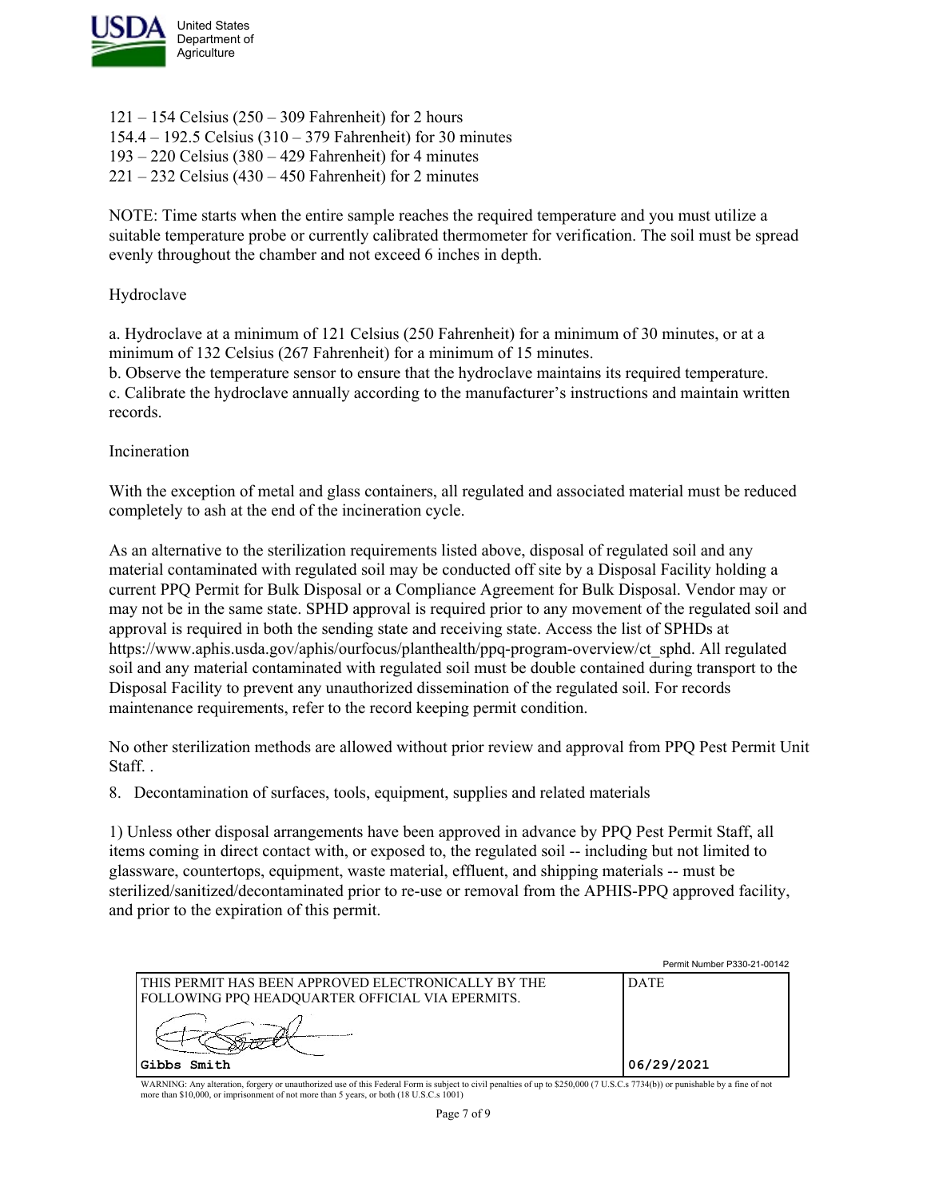

 $121 - 154$  Celsius  $(250 - 309$  Fahrenheit) for 2 hours 154.4 – 192.5 Celsius (310 – 379 Fahrenheit) for 30 minutes 193 – 220 Celsius (380 – 429 Fahrenheit) for 4 minutes  $221 - 232$  Celsius (430 – 450 Fahrenheit) for 2 minutes

NOTE: Time starts when the entire sample reaches the required temperature and you must utilize a suitable temperature probe or currently calibrated thermometer for verification. The soil must be spread evenly throughout the chamber and not exceed 6 inches in depth.

### Hydroclave

a. Hydroclave at a minimum of 121 Celsius (250 Fahrenheit) for a minimum of 30 minutes, or at a minimum of 132 Celsius (267 Fahrenheit) for a minimum of 15 minutes.

b. Observe the temperature sensor to ensure that the hydroclave maintains its required temperature. c. Calibrate the hydroclave annually according to the manufacturer's instructions and maintain written records.

### Incineration

With the exception of metal and glass containers, all regulated and associated material must be reduced completely to ash at the end of the incineration cycle.

As an alternative to the sterilization requirements listed above, disposal of regulated soil and any material contaminated with regulated soil may be conducted off site by a Disposal Facility holding a current PPQ Permit for Bulk Disposal or a Compliance Agreement for Bulk Disposal. Vendor may or may not be in the same state. SPHD approval is required prior to any movement of the regulated soil and approval is required in both the sending state and receiving state. Access the list of SPHDs at https://www.aphis.usda.gov/aphis/ourfocus/planthealth/ppq-program-overview/ct\_sphd. All regulated soil and any material contaminated with regulated soil must be double contained during transport to the Disposal Facility to prevent any unauthorized dissemination of the regulated soil. For records maintenance requirements, refer to the record keeping permit condition.

No other sterilization methods are allowed without prior review and approval from PPQ Pest Permit Unit Staff. .

8. Decontamination of surfaces, tools, equipment, supplies and related materials

1) Unless other disposal arrangements have been approved in advance by PPQ Pest Permit Staff, all items coming in direct contact with, or exposed to, the regulated soil -- including but not limited to glassware, countertops, equipment, waste material, effluent, and shipping materials -- must be sterilized/sanitized/decontaminated prior to re-use or removal from the APHIS-PPQ approved facility, and prior to the expiration of this permit.

|                                                                                                            | Permit Number P330-21-00142 |
|------------------------------------------------------------------------------------------------------------|-----------------------------|
| lthis permit has been approved electronically by the<br>  FOLLOWING PPQ HEADQUARTER OFFICIAL VIA EPERMITS. | <b>DATE</b>                 |
|                                                                                                            |                             |
| Gibbs Smith                                                                                                | 06/29/2021                  |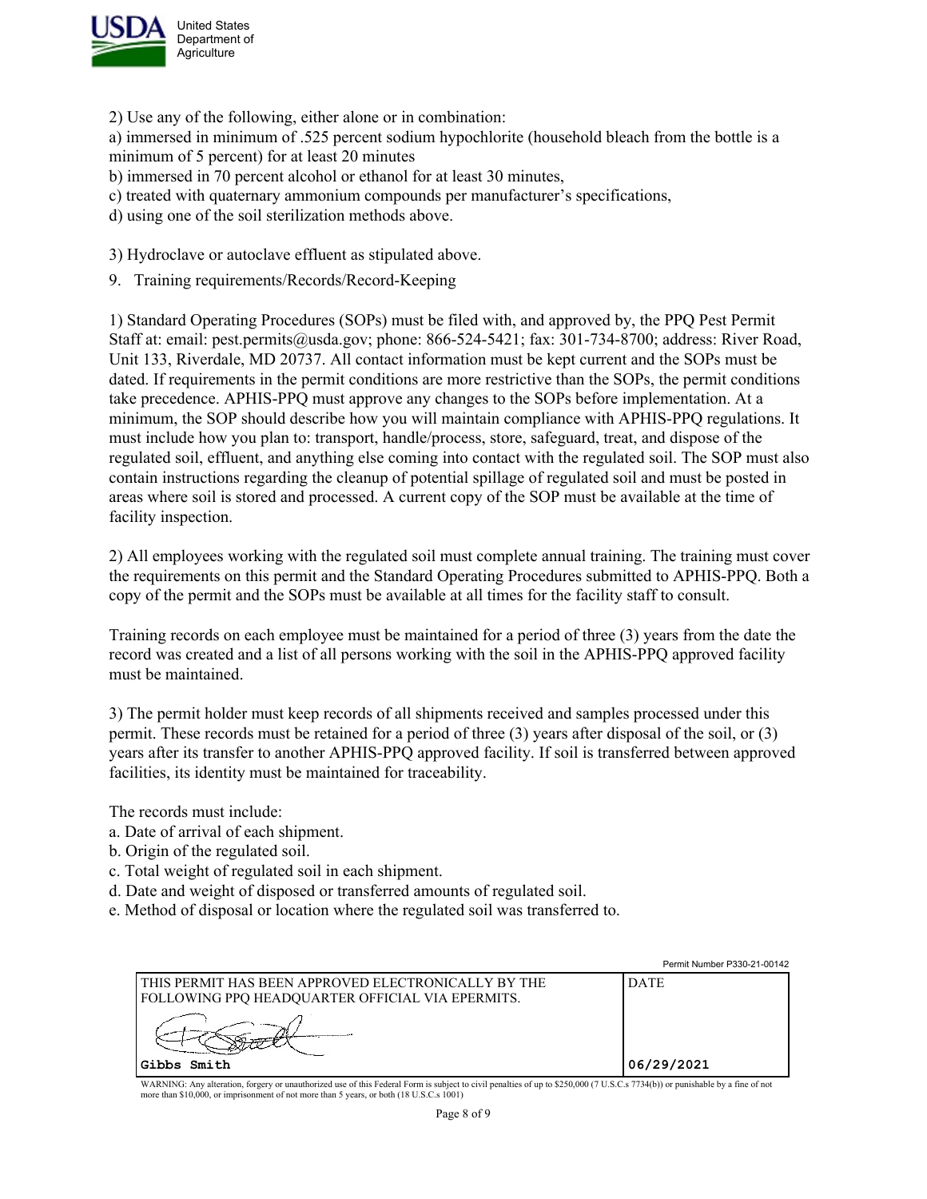

2) Use any of the following, either alone or in combination:

a) immersed in minimum of .525 percent sodium hypochlorite (household bleach from the bottle is a minimum of 5 percent) for at least 20 minutes

- b) immersed in 70 percent alcohol or ethanol for at least 30 minutes,
- c) treated with quaternary ammonium compounds per manufacturer's specifications,
- d) using one of the soil sterilization methods above.

3) Hydroclave or autoclave effluent as stipulated above.

9. Training requirements/Records/Record-Keeping

1) Standard Operating Procedures (SOPs) must be filed with, and approved by, the PPQ Pest Permit Staff at: email: pest.permits@usda.gov; phone: 866-524-5421; fax: 301-734-8700; address: River Road, Unit 133, Riverdale, MD 20737. All contact information must be kept current and the SOPs must be dated. If requirements in the permit conditions are more restrictive than the SOPs, the permit conditions take precedence. APHIS-PPQ must approve any changes to the SOPs before implementation. At a minimum, the SOP should describe how you will maintain compliance with APHIS-PPQ regulations. It must include how you plan to: transport, handle/process, store, safeguard, treat, and dispose of the regulated soil, effluent, and anything else coming into contact with the regulated soil. The SOP must also contain instructions regarding the cleanup of potential spillage of regulated soil and must be posted in areas where soil is stored and processed. A current copy of the SOP must be available at the time of facility inspection.

2) All employees working with the regulated soil must complete annual training. The training must cover the requirements on this permit and the Standard Operating Procedures submitted to APHIS-PPQ. Both a copy of the permit and the SOPs must be available at all times for the facility staff to consult.

Training records on each employee must be maintained for a period of three (3) years from the date the record was created and a list of all persons working with the soil in the APHIS-PPQ approved facility must be maintained.

3) The permit holder must keep records of all shipments received and samples processed under this permit. These records must be retained for a period of three (3) years after disposal of the soil, or (3) years after its transfer to another APHIS-PPQ approved facility. If soil is transferred between approved facilities, its identity must be maintained for traceability.

The records must include:

- a. Date of arrival of each shipment.
- b. Origin of the regulated soil.
- c. Total weight of regulated soil in each shipment.
- d. Date and weight of disposed or transferred amounts of regulated soil.
- e. Method of disposal or location where the regulated soil was transferred to.

|                                                                                                         | Permit Number P330-21-00142 |
|---------------------------------------------------------------------------------------------------------|-----------------------------|
| THIS PERMIT HAS BEEN APPROVED ELECTRONICALLY BY THE<br>FOLLOWING PPQ HEADQUARTER OFFICIAL VIA EPERMITS. | <b>DATE</b>                 |
|                                                                                                         |                             |
| Gibbs Smith                                                                                             | 06/29/2021                  |